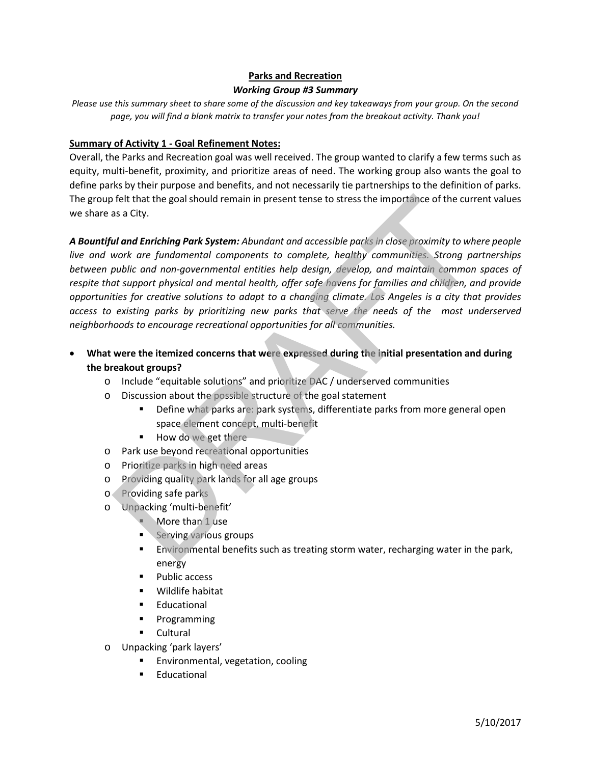### **Parks and Recreation**

#### *Working Group #3 Summary*

*Please use this summary sheet to share some of the discussion and key takeaways from your group. On the second page, you will find a blank matrix to transfer your notes from the breakout activity. Thank you!*

### **Summary of Activity 1 - Goal Refinement Notes:**

Overall, the Parks and Recreation goal was well received. The group wanted to clarify a few terms such as equity, multi-benefit, proximity, and prioritize areas of need. The working group also wants the goal to define parks by their purpose and benefits, and not necessarily tie partnerships to the definition of parks. The group felt that the goal should remain in present tense to stress the importance of the current values we share as a City.

*A Bountiful and Enriching Park System: Abundant and accessible parks in close proximity to where people live and work are fundamental components to complete, healthy communities. Strong partnerships between public and non-governmental entities help design, develop, and maintain common spaces of respite that support physical and mental health, offer safe havens for families and children, and provide opportunities for creative solutions to adapt to a changing climate. Los Angeles is a city that provides access to existing parks by prioritizing new parks that serve the needs of the most underserved neighborhoods to encourage recreational opportunities for all communities.* Felt that the goal should remain in present tense to stress the importance of the curre<br>
as a City.<br> **ul and Enriching Park System:** Abundant and accessible parks in close proximity to whe<br>
work are fundamental components

- **What were the itemized concerns that were expressed during the initial presentation and during the breakout groups?**
	- o Include "equitable solutions" and prioritize DAC / underserved communities
	- o Discussion about the possible structure of the goal statement
		- Define what parks are: park systems, differentiate parks from more general open space element concept, multi-benefit
		- How do we get there
	- o Park use beyond recreational opportunities
	- o Prioritize parks in high need areas
	- o Providing quality park lands for all age groups
	- o Providing safe parks
	- o Unpacking 'multi-benefit'
		- More than 1 use
		- **Serving various groups**
		- Environmental benefits such as treating storm water, recharging water in the park, energy
		- Public access
		- Wildlife habitat
		- **Educational**
		- **Programming**
		- **Cultural**
	- o Unpacking 'park layers'
		- Environmental, vegetation, cooling
		- Educational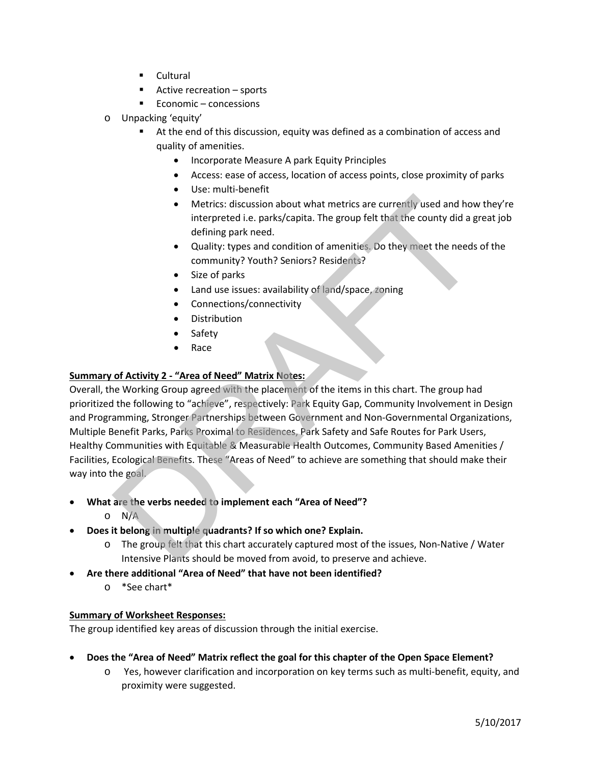- Cultural
- **Active recreation sports**
- $\blacksquare$  Economic concessions
- o Unpacking 'equity'
	- At the end of this discussion, equity was defined as a combination of access and quality of amenities.
		- Incorporate Measure A park Equity Principles
		- Access: ease of access, location of access points, close proximity of parks
		- Use: multi-benefit
		- Metrics: discussion about what metrics are currently used and how they're interpreted i.e. parks/capita. The group felt that the county did a great job defining park need.
		- Quality: types and condition of amenities. Do they meet the needs of the community? Youth? Seniors? Residents?
		- Size of parks
		- Land use issues: availability of land/space, zoning
		- Connections/connectivity
		- **Distribution**
		- **Safety**
		- Race

### **Summary of Activity 2 - "Area of Need" Matrix Notes:**

Overall, the Working Group agreed with the placement of the items in this chart. The group had prioritized the following to "achieve", respectively: Park Equity Gap, Community Involvement in Design and Programming, Stronger Partnerships between Government and Non-Governmental Organizations, Multiple Benefit Parks, Parks Proximal to Residences, Park Safety and Safe Routes for Park Users, Healthy Communities with Equitable & Measurable Health Outcomes, Community Based Amenities / Facilities, Ecological Benefits. These "Areas of Need" to achieve are something that should make their way into the goal. • Metrics: discussion about what metrics are currently used and how<br>
interpreted i.e. parks/capita. The group felt that the county did a g<br>
defining park need.<br>
• Quality: types and condition of amenities, Do they meet the

- **What are the verbs needed to implement each "Area of Need"?** 
	- o N/A
- **Does it belong in multiple quadrants? If so which one? Explain.**
	- o The group felt that this chart accurately captured most of the issues, Non-Native / Water Intensive Plants should be moved from avoid, to preserve and achieve.
- **Are there additional "Area of Need" that have not been identified?**
	- o \*See chart\*

### **Summary of Worksheet Responses:**

The group identified key areas of discussion through the initial exercise.

- **Does the "Area of Need" Matrix reflect the goal for this chapter of the Open Space Element?**
	- o Yes, however clarification and incorporation on key terms such as multi-benefit, equity, and proximity were suggested.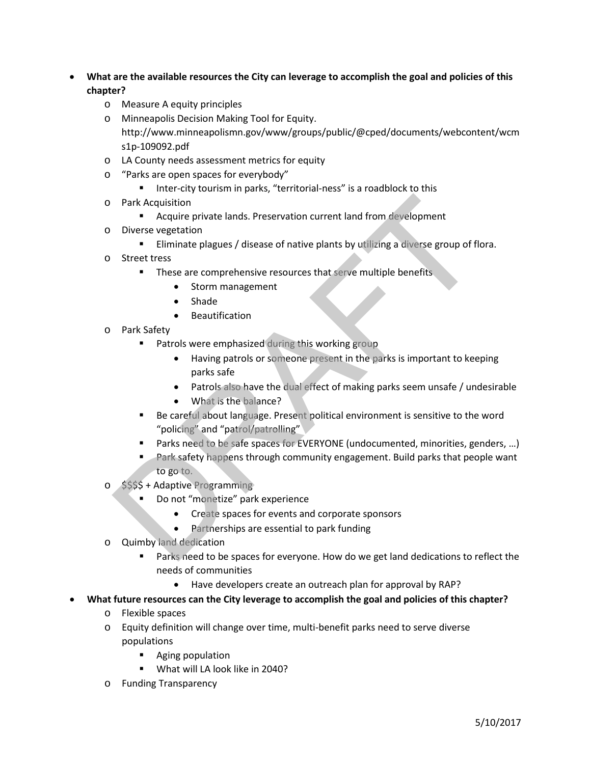- **What are the available resources the City can leverage to accomplish the goal and policies of this chapter?**
	- o Measure A equity principles
	- o Minneapolis Decision Making Tool for Equity. http://www.minneapolismn.gov/www/groups/public/@cped/documents/webcontent/wcm s1p-109092.pdf
	- o LA County needs assessment metrics for equity
	- o "Parks are open spaces for everybody"
		- **IFM** Inter-city tourism in parks, "territorial-ness" is a roadblock to this
	- o Park Acquisition
		- **EXTE:** Acquire private lands. Preservation current land from development
	- o Diverse vegetation
		- Eliminate plagues / disease of native plants by utilizing a diverse group of flora.
	- o Street tress
		- **These are comprehensive resources that serve multiple benefits** 
			- Storm management
			- Shade
			- Beautification
	- o Park Safety
		- **Patrols were emphasized during this working group** 
			- Having patrols or someone present in the parks is important to keeping parks safe
			- Patrols also have the dual effect of making parks seem unsafe / undesirable
			- What is the balance?
		- Be careful about language. Present political environment is sensitive to the word "policing" and "patrol/patrolling"
		- Parks need to be safe spaces for EVERYONE (undocumented, minorities, genders, …)
- Park safety happens through community engagement. Build parks that people want to go to. Park Acquisition<br>
• Acquire private lands. Preservation current land from development<br>
Diverse vegetation<br>
• Eliminate plagues / disease of native plants by utilizing a diverse group of fit<br>
Street tress<br>
• Storm managemen
	- o \$\$\$\$ + Adaptive Programming
		- Do not "monetize" park experience
			- Create spaces for events and corporate sponsors
			- Partnerships are essential to park funding
	- o Quimby land dedication
		- **Parks need to be spaces for everyone. How do we get land dedications to reflect the** needs of communities
			- Have developers create an outreach plan for approval by RAP?
- **What future resources can the City leverage to accomplish the goal and policies of this chapter?**
	- o Flexible spaces
	- o Equity definition will change over time, multi-benefit parks need to serve diverse populations
		- **Aging population**
		- What will LA look like in 2040?
	- o Funding Transparency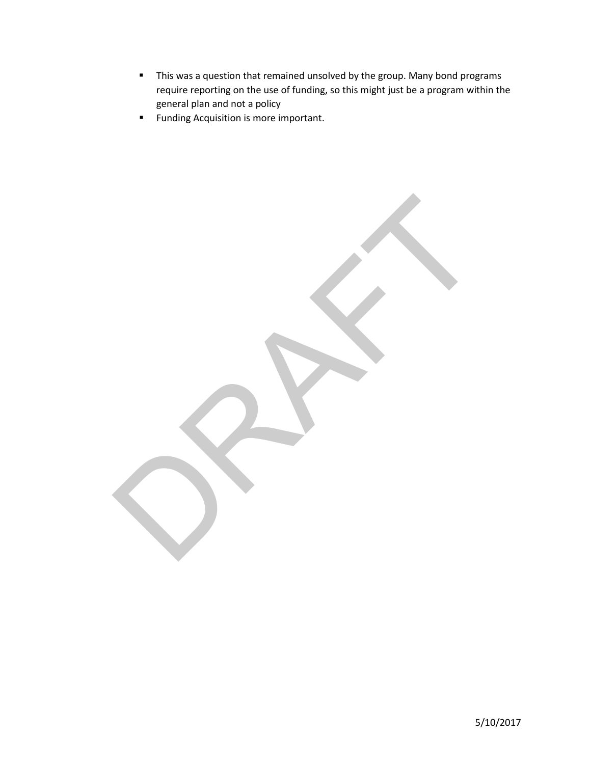**This was a question that remained unsolved by the group. Many bond programs** require reporting on the use of funding, so this might just be a program within the general plan and not a policy

RAFT

**Funding Acquisition is more important.** 

5/10/2017